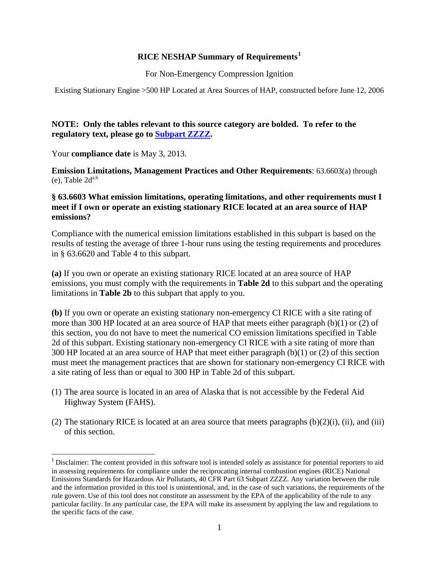#### **RICE NESHAP Summary of Requirements[1](#page-0-0)**

For Non-Emergency Compression Ignition

Existing Stationary Engine >500 HP Located at Area Sources of HAP, constructed before June 12, 2006

#### **NOTE: Only the tables relevant to this source category are bolded. To refer to the regulatory text, please go to [Subpart ZZZZ.](http://ecfr.gpoaccess.gov/cgi/t/text/text-idx?c=ecfr&sid=1a99f9085290b824596375da47416821&tpl=/ecfrbrowse/Title40/40cfr63e_main_02.tpl)**

Your **compliance date** is May 3, 2013.

**Emission Limitations, Management Practices and Other Requirements**: 63.6603(a) through  $(e)$ , Table  $2d^{a,b}$ 

#### **§ 63.6603 What emission limitations, operating limitations, and other requirements must I meet if I own or operate an existing stationary RICE located at an area source of HAP emissions?**

Compliance with the numerical emission limitations established in this subpart is based on the results of testing the average of three 1-hour runs using the testing requirements and procedures in § 63.6620 and Table 4 to this subpart.

**(a)** If you own or operate an existing stationary RICE located at an area source of HAP emissions, you must comply with the requirements in **Table 2d** to this subpart and the operating limitations in **Table 2b** to this subpart that apply to you.

**(b)** If you own or operate an existing stationary non-emergency CI RICE with a site rating of more than 300 HP located at an area source of HAP that meets either paragraph (b)(1) or (2) of this section, you do not have to meet the numerical CO emission limitations specified in Table 2d of this subpart. Existing stationary non-emergency CI RICE with a site rating of more than 300 HP located at an area source of HAP that meet either paragraph (b)(1) or (2) of this section must meet the management practices that are shown for stationary non-emergency CI RICE with a site rating of less than or equal to 300 HP in Table 2d of this subpart.

- (1) The area source is located in an area of Alaska that is not accessible by the Federal Aid Highway System (FAHS).
- (2) The stationary RICE is located at an area source that meets paragraphs (b)(2)(i), (ii), and (iii) of this section.

<span id="page-0-0"></span><sup>&</sup>lt;sup>1</sup> Disclaimer: The content provided in this software tool is intended solely as assistance for potential reporters to aid in assessing requirements for compliance under the reciprocating internal combustion engines (RICE) National Emissions Standards for Hazardous Air Pollutants, 40 CFR Part 63 Subpart ZZZZ. Any variation between the rule and the information provided in this tool is unintentional, and, in the case of such variations, the requirements of the rule govern. Use of this tool does not constitute an assessment by the EPA of the applicability of the rule to any particular facility. In any particular case, the EPA will make its assessment by applying the law and regulations to the specific facts of the case.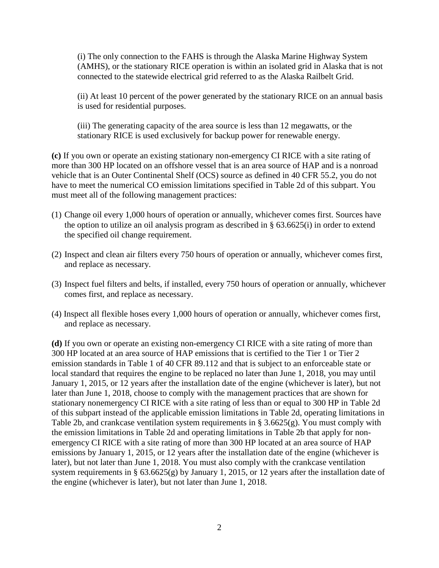(i) The only connection to the FAHS is through the Alaska Marine Highway System (AMHS), or the stationary RICE operation is within an isolated grid in Alaska that is not connected to the statewide electrical grid referred to as the Alaska Railbelt Grid.

(ii) At least 10 percent of the power generated by the stationary RICE on an annual basis is used for residential purposes.

(iii) The generating capacity of the area source is less than 12 megawatts, or the stationary RICE is used exclusively for backup power for renewable energy.

**(c)** If you own or operate an existing stationary non-emergency CI RICE with a site rating of more than 300 HP located on an offshore vessel that is an area source of HAP and is a nonroad vehicle that is an Outer Continental Shelf (OCS) source as defined in 40 CFR 55.2, you do not have to meet the numerical CO emission limitations specified in Table 2d of this subpart. You must meet all of the following management practices:

- (1) Change oil every 1,000 hours of operation or annually, whichever comes first. Sources have the option to utilize an oil analysis program as described in § 63.6625(i) in order to extend the specified oil change requirement.
- (2) Inspect and clean air filters every 750 hours of operation or annually, whichever comes first, and replace as necessary.
- (3) Inspect fuel filters and belts, if installed, every 750 hours of operation or annually, whichever comes first, and replace as necessary.
- (4) Inspect all flexible hoses every 1,000 hours of operation or annually, whichever comes first, and replace as necessary.

**(d)** If you own or operate an existing non-emergency CI RICE with a site rating of more than 300 HP located at an area source of HAP emissions that is certified to the Tier 1 or Tier 2 emission standards in Table 1 of 40 CFR 89.112 and that is subject to an enforceable state or local standard that requires the engine to be replaced no later than June 1, 2018, you may until January 1, 2015, or 12 years after the installation date of the engine (whichever is later), but not later than June 1, 2018, choose to comply with the management practices that are shown for stationary nonemergency CI RICE with a site rating of less than or equal to 300 HP in Table 2d of this subpart instead of the applicable emission limitations in Table 2d, operating limitations in Table 2b, and crankcase ventilation system requirements in § 3.6625(g). You must comply with the emission limitations in Table 2d and operating limitations in Table 2b that apply for nonemergency CI RICE with a site rating of more than 300 HP located at an area source of HAP emissions by January 1, 2015, or 12 years after the installation date of the engine (whichever is later), but not later than June 1, 2018. You must also comply with the crankcase ventilation system requirements in § 63.6625(g) by January 1, 2015, or 12 years after the installation date of the engine (whichever is later), but not later than June 1, 2018.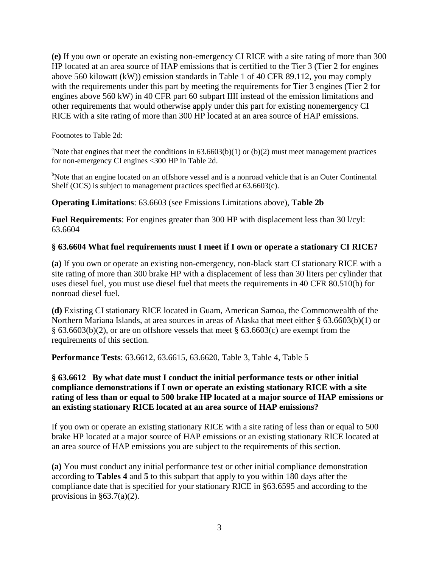**(e)** If you own or operate an existing non-emergency CI RICE with a site rating of more than 300 HP located at an area source of HAP emissions that is certified to the Tier 3 (Tier 2 for engines above 560 kilowatt (kW)) emission standards in Table 1 of 40 CFR 89.112, you may comply with the requirements under this part by meeting the requirements for Tier 3 engines (Tier 2 for engines above 560 kW) in 40 CFR part 60 subpart IIII instead of the emission limitations and other requirements that would otherwise apply under this part for existing nonemergency CI RICE with a site rating of more than 300 HP located at an area source of HAP emissions.

Footnotes to Table 2d:

<sup>a</sup>Note that engines that meet the conditions in  $63.6603(b)(1)$  or  $(b)(2)$  must meet management practices for non-emergency CI engines <300 HP in Table 2d.

<sup>b</sup>Note that an engine located on an offshore vessel and is a nonroad vehicle that is an Outer Continental Shelf (OCS) is subject to management practices specified at 63.6603(c).

**Operating Limitations**: 63.6603 (see Emissions Limitations above), **Table 2b**

**Fuel Requirements**: For engines greater than 300 HP with displacement less than 30 l/cyl: 63.6604

#### **§ 63.6604 What fuel requirements must I meet if I own or operate a stationary CI RICE?**

**(a)** If you own or operate an existing non-emergency, non-black start CI stationary RICE with a site rating of more than 300 brake HP with a displacement of less than 30 liters per cylinder that uses diesel fuel, you must use diesel fuel that meets the requirements in 40 CFR 80.510(b) for nonroad diesel fuel.

**(d)** Existing CI stationary RICE located in Guam, American Samoa, the Commonwealth of the Northern Mariana Islands, at area sources in areas of Alaska that meet either § 63.6603(b)(1) or § 63.6603(b)(2), or are on offshore vessels that meet § 63.6603(c) are exempt from the requirements of this section.

**Performance Tests**: 63.6612, 63.6615, 63.6620, Table 3, Table 4, Table 5

#### **§ 63.6612 By what date must I conduct the initial performance tests or other initial compliance demonstrations if I own or operate an existing stationary RICE with a site rating of less than or equal to 500 brake HP located at a major source of HAP emissions or an existing stationary RICE located at an area source of HAP emissions?**

If you own or operate an existing stationary RICE with a site rating of less than or equal to 500 brake HP located at a major source of HAP emissions or an existing stationary RICE located at an area source of HAP emissions you are subject to the requirements of this section.

**(a)** You must conduct any initial performance test or other initial compliance demonstration according to **Tables 4** and **5** to this subpart that apply to you within 180 days after the compliance date that is specified for your stationary RICE in §63.6595 and according to the provisions in  $\S 63.7(a)(2)$ .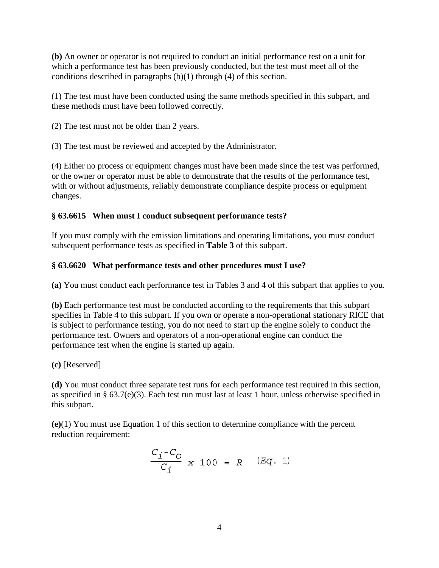**(b)** An owner or operator is not required to conduct an initial performance test on a unit for which a performance test has been previously conducted, but the test must meet all of the conditions described in paragraphs (b)(1) through (4) of this section.

(1) The test must have been conducted using the same methods specified in this subpart, and these methods must have been followed correctly.

(2) The test must not be older than 2 years.

(3) The test must be reviewed and accepted by the Administrator.

(4) Either no process or equipment changes must have been made since the test was performed, or the owner or operator must be able to demonstrate that the results of the performance test, with or without adjustments, reliably demonstrate compliance despite process or equipment changes.

# **§ 63.6615 When must I conduct subsequent performance tests?**

If you must comply with the emission limitations and operating limitations, you must conduct subsequent performance tests as specified in **Table 3** of this subpart.

# **§ 63.6620 What performance tests and other procedures must I use?**

**(a)** You must conduct each performance test in Tables 3 and 4 of this subpart that applies to you.

**(b)** Each performance test must be conducted according to the requirements that this subpart specifies in Table 4 to this subpart. If you own or operate a non-operational stationary RICE that is subject to performance testing, you do not need to start up the engine solely to conduct the performance test. Owners and operators of a non-operational engine can conduct the performance test when the engine is started up again.

**(c)** [Reserved]

**(d)** You must conduct three separate test runs for each performance test required in this section, as specified in § 63.7(e)(3). Each test run must last at least 1 hour, unless otherwise specified in this subpart.

**(e)**(1) You must use Equation 1 of this section to determine compliance with the percent reduction requirement:

$$
\frac{C_i - C_o}{C_i} \times 100 = R \quad (Eq. 1)
$$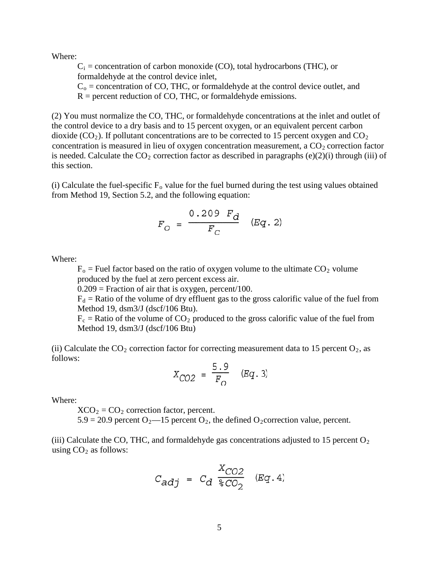Where:

 $C_i$  = concentration of carbon monoxide (CO), total hydrocarbons (THC), or formaldehyde at the control device inlet,

 $C<sub>o</sub>$  = concentration of CO, THC, or formaldehyde at the control device outlet, and  $R =$  percent reduction of CO, THC, or formaldehyde emissions.

(2) You must normalize the CO, THC, or formaldehyde concentrations at the inlet and outlet of the control device to a dry basis and to 15 percent oxygen, or an equivalent percent carbon dioxide  $(CO_2)$ . If pollutant concentrations are to be corrected to 15 percent oxygen and  $CO_2$ concentration is measured in lieu of oxygen concentration measurement, a  $CO<sub>2</sub>$  correction factor is needed. Calculate the  $CO_2$  correction factor as described in paragraphs (e)(2)(i) through (iii) of this section.

(i) Calculate the fuel-specific  $F_0$  value for the fuel burned during the test using values obtained from Method 19, Section 5.2, and the following equation:

$$
F_O = \frac{0.209 \ F_d}{F_C} \quad (Eq. 2)
$$

Where:

 $F_0$  = Fuel factor based on the ratio of oxygen volume to the ultimate  $CO_2$  volume produced by the fuel at zero percent excess air.

 $0.209$  = Fraction of air that is oxygen, percent/100.

 $F_d$  = Ratio of the volume of dry effluent gas to the gross calorific value of the fuel from Method 19, dsm3/J (dscf/106 Btu).

 $F_c$  = Ratio of the volume of  $CO_2$  produced to the gross calorific value of the fuel from Method 19, dsm3/J (dscf/106 Btu)

(ii) Calculate the  $CO_2$  correction factor for correcting measurement data to 15 percent  $O_2$ , as follows:

$$
X_{CO2} = \frac{5.9}{F_O} \quad (Eq. 3)
$$

Where:

 $XCO_2 = CO_2$  correction factor, percent.  $5.9 = 20.9$  percent  $O_2$ —15 percent  $O_2$ , the defined  $O_2$ correction value, percent.

(iii) Calculate the CO, THC, and formaldehyde gas concentrations adjusted to 15 percent  $O_2$ using  $CO<sub>2</sub>$  as follows:

$$
C_{adj} = C_d \frac{X_{CO2}}{\text{CO}_2} \quad (Eq. 4)
$$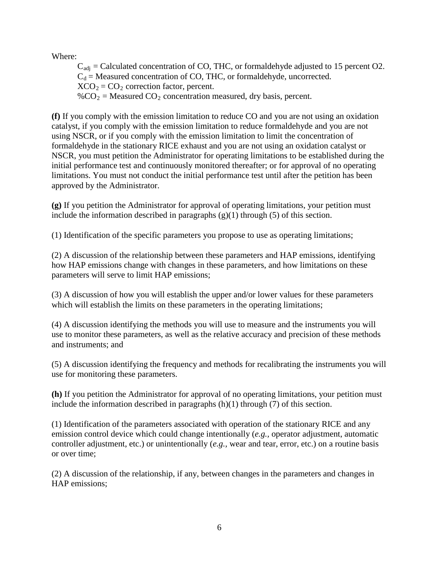Where:

 $C_{\text{adi}}$  = Calculated concentration of CO, THC, or formaldehyde adjusted to 15 percent O2.  $C_d$  = Measured concentration of CO, THC, or formaldehyde, uncorrected.  $XCO_2 = CO_2$  correction factor, percent. % $CO<sub>2</sub>$  = Measured  $CO<sub>2</sub>$  concentration measured, dry basis, percent.

**(f)** If you comply with the emission limitation to reduce CO and you are not using an oxidation catalyst, if you comply with the emission limitation to reduce formaldehyde and you are not using NSCR, or if you comply with the emission limitation to limit the concentration of formaldehyde in the stationary RICE exhaust and you are not using an oxidation catalyst or NSCR, you must petition the Administrator for operating limitations to be established during the initial performance test and continuously monitored thereafter; or for approval of no operating limitations. You must not conduct the initial performance test until after the petition has been approved by the Administrator.

**(g)** If you petition the Administrator for approval of operating limitations, your petition must include the information described in paragraphs  $(g)(1)$  through (5) of this section.

(1) Identification of the specific parameters you propose to use as operating limitations;

(2) A discussion of the relationship between these parameters and HAP emissions, identifying how HAP emissions change with changes in these parameters, and how limitations on these parameters will serve to limit HAP emissions;

(3) A discussion of how you will establish the upper and/or lower values for these parameters which will establish the limits on these parameters in the operating limitations;

(4) A discussion identifying the methods you will use to measure and the instruments you will use to monitor these parameters, as well as the relative accuracy and precision of these methods and instruments; and

(5) A discussion identifying the frequency and methods for recalibrating the instruments you will use for monitoring these parameters.

**(h)** If you petition the Administrator for approval of no operating limitations, your petition must include the information described in paragraphs (h)(1) through (7) of this section.

(1) Identification of the parameters associated with operation of the stationary RICE and any emission control device which could change intentionally (*e.g.,* operator adjustment, automatic controller adjustment, etc.) or unintentionally (*e.g.,* wear and tear, error, etc.) on a routine basis or over time;

(2) A discussion of the relationship, if any, between changes in the parameters and changes in HAP emissions;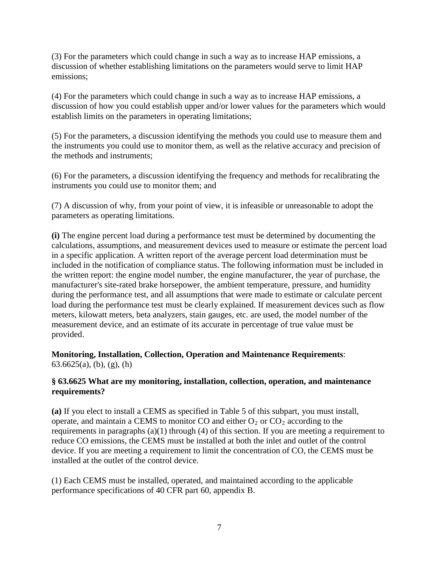(3) For the parameters which could change in such a way as to increase HAP emissions, a discussion of whether establishing limitations on the parameters would serve to limit HAP emissions;

(4) For the parameters which could change in such a way as to increase HAP emissions, a discussion of how you could establish upper and/or lower values for the parameters which would establish limits on the parameters in operating limitations;

(5) For the parameters, a discussion identifying the methods you could use to measure them and the instruments you could use to monitor them, as well as the relative accuracy and precision of the methods and instruments;

(6) For the parameters, a discussion identifying the frequency and methods for recalibrating the instruments you could use to monitor them; and

(7) A discussion of why, from your point of view, it is infeasible or unreasonable to adopt the parameters as operating limitations.

**(i)** The engine percent load during a performance test must be determined by documenting the calculations, assumptions, and measurement devices used to measure or estimate the percent load in a specific application. A written report of the average percent load determination must be included in the notification of compliance status. The following information must be included in the written report: the engine model number, the engine manufacturer, the year of purchase, the manufacturer's site-rated brake horsepower, the ambient temperature, pressure, and humidity during the performance test, and all assumptions that were made to estimate or calculate percent load during the performance test must be clearly explained. If measurement devices such as flow meters, kilowatt meters, beta analyzers, stain gauges, etc. are used, the model number of the measurement device, and an estimate of its accurate in percentage of true value must be provided.

## **Monitoring, Installation, Collection, Operation and Maintenance Requirements**:  $63.6625(a)$ , (b), (g), (h)

#### **§ 63.6625 What are my monitoring, installation, collection, operation, and maintenance requirements?**

**(a)** If you elect to install a CEMS as specified in Table 5 of this subpart, you must install, operate, and maintain a CEMS to monitor CO and either  $O_2$  or  $CO_2$  according to the requirements in paragraphs (a)(1) through (4) of this section. If you are meeting a requirement to reduce CO emissions, the CEMS must be installed at both the inlet and outlet of the control device. If you are meeting a requirement to limit the concentration of CO, the CEMS must be installed at the outlet of the control device.

(1) Each CEMS must be installed, operated, and maintained according to the applicable performance specifications of 40 CFR part 60, appendix B.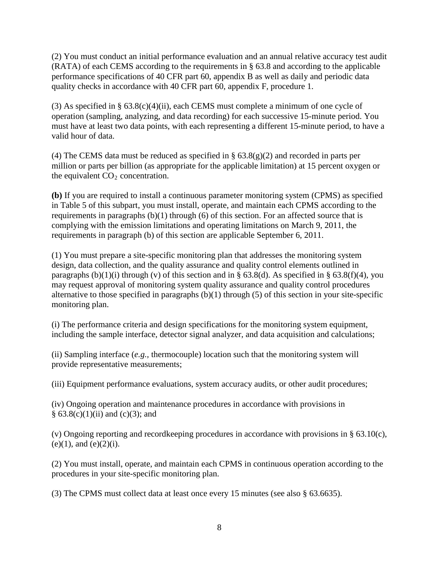(2) You must conduct an initial performance evaluation and an annual relative accuracy test audit (RATA) of each CEMS according to the requirements in § 63.8 and according to the applicable performance specifications of 40 CFR part 60, appendix B as well as daily and periodic data quality checks in accordance with 40 CFR part 60, appendix F, procedure 1.

(3) As specified in § 63.8(c)(4)(ii), each CEMS must complete a minimum of one cycle of operation (sampling, analyzing, and data recording) for each successive 15-minute period. You must have at least two data points, with each representing a different 15-minute period, to have a valid hour of data.

(4) The CEMS data must be reduced as specified in  $\S 63.8(g)(2)$  and recorded in parts per million or parts per billion (as appropriate for the applicable limitation) at 15 percent oxygen or the equivalent  $CO<sub>2</sub>$  concentration.

**(b)** If you are required to install a continuous parameter monitoring system (CPMS) as specified in Table 5 of this subpart, you must install, operate, and maintain each CPMS according to the requirements in paragraphs  $(b)(1)$  through  $(6)$  of this section. For an affected source that is complying with the emission limitations and operating limitations on March 9, 2011, the requirements in paragraph (b) of this section are applicable September 6, 2011.

(1) You must prepare a site-specific monitoring plan that addresses the monitoring system design, data collection, and the quality assurance and quality control elements outlined in paragraphs (b)(1)(i) through (v) of this section and in § 63.8(d). As specified in § 63.8(f)(4), you may request approval of monitoring system quality assurance and quality control procedures alternative to those specified in paragraphs (b)(1) through (5) of this section in your site-specific monitoring plan.

(i) The performance criteria and design specifications for the monitoring system equipment, including the sample interface, detector signal analyzer, and data acquisition and calculations;

(ii) Sampling interface (*e.g.,* thermocouple) location such that the monitoring system will provide representative measurements;

(iii) Equipment performance evaluations, system accuracy audits, or other audit procedures;

(iv) Ongoing operation and maintenance procedures in accordance with provisions in  $§ 63.8(c)(1)(ii)$  and (c)(3); and

(v) Ongoing reporting and recordkeeping procedures in accordance with provisions in § 63.10(c),  $(e)(1)$ , and  $(e)(2)(i)$ .

(2) You must install, operate, and maintain each CPMS in continuous operation according to the procedures in your site-specific monitoring plan.

(3) The CPMS must collect data at least once every 15 minutes (see also § 63.6635).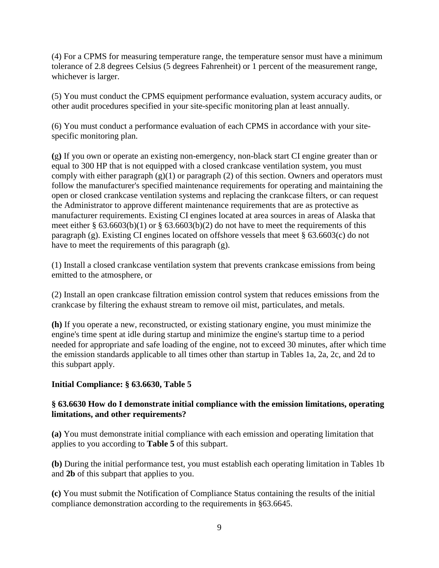(4) For a CPMS for measuring temperature range, the temperature sensor must have a minimum tolerance of 2.8 degrees Celsius (5 degrees Fahrenheit) or 1 percent of the measurement range, whichever is larger.

(5) You must conduct the CPMS equipment performance evaluation, system accuracy audits, or other audit procedures specified in your site-specific monitoring plan at least annually.

(6) You must conduct a performance evaluation of each CPMS in accordance with your sitespecific monitoring plan.

**(**g**)** If you own or operate an existing non-emergency, non-black start CI engine greater than or equal to 300 HP that is not equipped with a closed crankcase ventilation system, you must comply with either paragraph  $(g)(1)$  or paragraph  $(2)$  of this section. Owners and operators must follow the manufacturer's specified maintenance requirements for operating and maintaining the open or closed crankcase ventilation systems and replacing the crankcase filters, or can request the Administrator to approve different maintenance requirements that are as protective as manufacturer requirements. Existing CI engines located at area sources in areas of Alaska that meet either §  $63.6603(b)(1)$  or §  $63.6603(b)(2)$  do not have to meet the requirements of this paragraph (g). Existing CI engines located on offshore vessels that meet § 63.6603(c) do not have to meet the requirements of this paragraph (g).

(1) Install a closed crankcase ventilation system that prevents crankcase emissions from being emitted to the atmosphere, or

(2) Install an open crankcase filtration emission control system that reduces emissions from the crankcase by filtering the exhaust stream to remove oil mist, particulates, and metals.

**(h)** If you operate a new, reconstructed, or existing stationary engine, you must minimize the engine's time spent at idle during startup and minimize the engine's startup time to a period needed for appropriate and safe loading of the engine, not to exceed 30 minutes, after which time the emission standards applicable to all times other than startup in Tables 1a, 2a, 2c, and 2d to this subpart apply.

# **Initial Compliance: § 63.6630, Table 5**

#### **§ 63.6630 How do I demonstrate initial compliance with the emission limitations, operating limitations, and other requirements?**

**(a)** You must demonstrate initial compliance with each emission and operating limitation that applies to you according to **Table 5** of this subpart.

**(b)** During the initial performance test, you must establish each operating limitation in Tables 1b and **2b** of this subpart that applies to you.

**(c)** You must submit the Notification of Compliance Status containing the results of the initial compliance demonstration according to the requirements in §63.6645.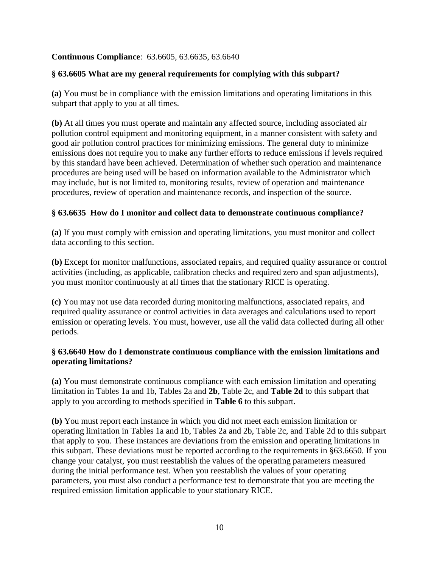#### **Continuous Compliance**: 63.6605, 63.6635, 63.6640

#### **§ 63.6605 What are my general requirements for complying with this subpart?**

**(a)** You must be in compliance with the emission limitations and operating limitations in this subpart that apply to you at all times.

**(b)** At all times you must operate and maintain any affected source, including associated air pollution control equipment and monitoring equipment, in a manner consistent with safety and good air pollution control practices for minimizing emissions. The general duty to minimize emissions does not require you to make any further efforts to reduce emissions if levels required by this standard have been achieved. Determination of whether such operation and maintenance procedures are being used will be based on information available to the Administrator which may include, but is not limited to, monitoring results, review of operation and maintenance procedures, review of operation and maintenance records, and inspection of the source.

#### **§ 63.6635 How do I monitor and collect data to demonstrate continuous compliance?**

**(a)** If you must comply with emission and operating limitations, you must monitor and collect data according to this section.

**(b)** Except for monitor malfunctions, associated repairs, and required quality assurance or control activities (including, as applicable, calibration checks and required zero and span adjustments), you must monitor continuously at all times that the stationary RICE is operating.

**(c)** You may not use data recorded during monitoring malfunctions, associated repairs, and required quality assurance or control activities in data averages and calculations used to report emission or operating levels. You must, however, use all the valid data collected during all other periods.

#### **§ 63.6640 How do I demonstrate continuous compliance with the emission limitations and operating limitations?**

**(a)** You must demonstrate continuous compliance with each emission limitation and operating limitation in Tables 1a and 1b, Tables 2a and **2b**, Table 2c, and **Table 2d** to this subpart that apply to you according to methods specified in **Table 6** to this subpart.

**(b)** You must report each instance in which you did not meet each emission limitation or operating limitation in Tables 1a and 1b, Tables 2a and 2b, Table 2c, and Table 2d to this subpart that apply to you. These instances are deviations from the emission and operating limitations in this subpart. These deviations must be reported according to the requirements in §63.6650. If you change your catalyst, you must reestablish the values of the operating parameters measured during the initial performance test. When you reestablish the values of your operating parameters, you must also conduct a performance test to demonstrate that you are meeting the required emission limitation applicable to your stationary RICE.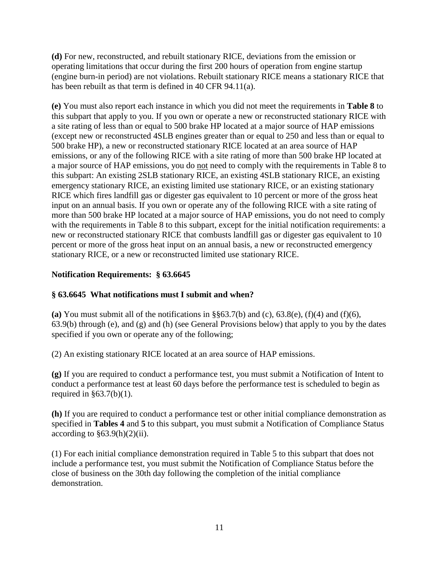**(d)** For new, reconstructed, and rebuilt stationary RICE, deviations from the emission or operating limitations that occur during the first 200 hours of operation from engine startup (engine burn-in period) are not violations. Rebuilt stationary RICE means a stationary RICE that has been rebuilt as that term is defined in 40 CFR 94.11(a).

**(e)** You must also report each instance in which you did not meet the requirements in **Table 8** to this subpart that apply to you. If you own or operate a new or reconstructed stationary RICE with a site rating of less than or equal to 500 brake HP located at a major source of HAP emissions (except new or reconstructed 4SLB engines greater than or equal to 250 and less than or equal to 500 brake HP), a new or reconstructed stationary RICE located at an area source of HAP emissions, or any of the following RICE with a site rating of more than 500 brake HP located at a major source of HAP emissions, you do not need to comply with the requirements in Table 8 to this subpart: An existing 2SLB stationary RICE, an existing 4SLB stationary RICE, an existing emergency stationary RICE, an existing limited use stationary RICE, or an existing stationary RICE which fires landfill gas or digester gas equivalent to 10 percent or more of the gross heat input on an annual basis. If you own or operate any of the following RICE with a site rating of more than 500 brake HP located at a major source of HAP emissions, you do not need to comply with the requirements in Table 8 to this subpart, except for the initial notification requirements: a new or reconstructed stationary RICE that combusts landfill gas or digester gas equivalent to 10 percent or more of the gross heat input on an annual basis, a new or reconstructed emergency stationary RICE, or a new or reconstructed limited use stationary RICE.

## **Notification Requirements: § 63.6645**

#### **§ 63.6645 What notifications must I submit and when?**

(a) You must submit all of the notifications in  $\S$ §63.7(b) and (c), 63.8(e), (f)(4) and (f)(6), 63.9(b) through (e), and (g) and (h) (see General Provisions below) that apply to you by the dates specified if you own or operate any of the following;

(2) An existing stationary RICE located at an area source of HAP emissions.

**(g)** If you are required to conduct a performance test, you must submit a Notification of Intent to conduct a performance test at least 60 days before the performance test is scheduled to begin as required in  $\S 63.7(b)(1)$ .

**(h)** If you are required to conduct a performance test or other initial compliance demonstration as specified in **Tables 4** and **5** to this subpart, you must submit a Notification of Compliance Status according to  $\S 63.9(h)(2)(ii)$ .

(1) For each initial compliance demonstration required in Table 5 to this subpart that does not include a performance test, you must submit the Notification of Compliance Status before the close of business on the 30th day following the completion of the initial compliance demonstration.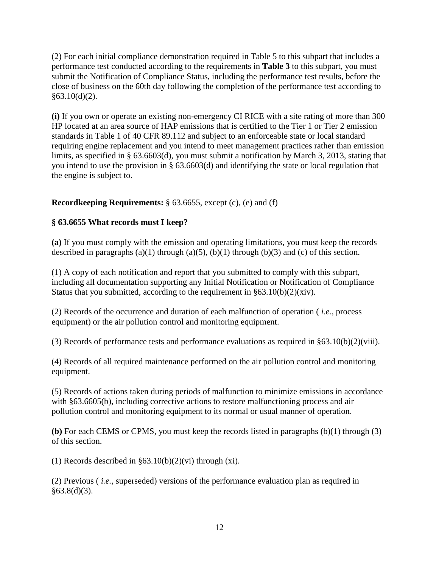(2) For each initial compliance demonstration required in Table 5 to this subpart that includes a performance test conducted according to the requirements in **Table 3** to this subpart, you must submit the Notification of Compliance Status, including the performance test results, before the close of business on the 60th day following the completion of the performance test according to  $§63.10(d)(2)$ .

**(i)** If you own or operate an existing non-emergency CI RICE with a site rating of more than 300 HP located at an area source of HAP emissions that is certified to the Tier 1 or Tier 2 emission standards in Table 1 of 40 CFR 89.112 and subject to an enforceable state or local standard requiring engine replacement and you intend to meet management practices rather than emission limits, as specified in § 63.6603(d), you must submit a notification by March 3, 2013, stating that you intend to use the provision in § 63.6603(d) and identifying the state or local regulation that the engine is subject to.

# **Recordkeeping Requirements:** § 63.6655, except (c), (e) and (f)

## **§ 63.6655 What records must I keep?**

**(a)** If you must comply with the emission and operating limitations, you must keep the records described in paragraphs (a)(1) through (a)(5), (b)(1) through (b)(3) and (c) of this section.

(1) A copy of each notification and report that you submitted to comply with this subpart, including all documentation supporting any Initial Notification or Notification of Compliance Status that you submitted, according to the requirement in  $\S 63.10(b)(2)(xiv)$ .

(2) Records of the occurrence and duration of each malfunction of operation ( *i.e.,* process equipment) or the air pollution control and monitoring equipment.

(3) Records of performance tests and performance evaluations as required in §63.10(b)(2)(viii).

(4) Records of all required maintenance performed on the air pollution control and monitoring equipment.

(5) Records of actions taken during periods of malfunction to minimize emissions in accordance with §63.6605(b), including corrective actions to restore malfunctioning process and air pollution control and monitoring equipment to its normal or usual manner of operation.

**(b)** For each CEMS or CPMS, you must keep the records listed in paragraphs (b)(1) through (3) of this section.

(1) Records described in  $\S 63.10(b)(2)(vi)$  through (xi).

(2) Previous ( *i.e.,* superseded) versions of the performance evaluation plan as required in  $§63.8(d)(3)$ .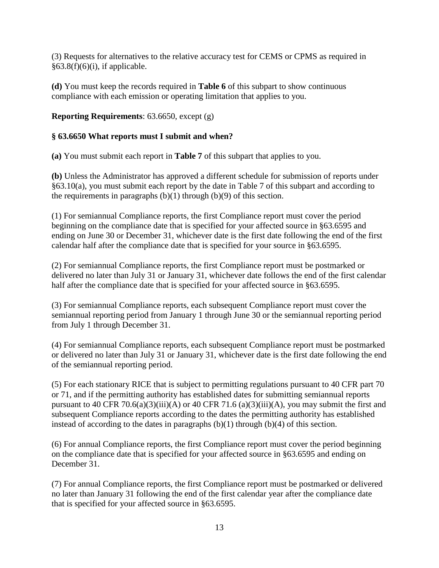(3) Requests for alternatives to the relative accuracy test for CEMS or CPMS as required in  $§63.8(f)(6)(i)$ , if applicable.

**(d)** You must keep the records required in **Table 6** of this subpart to show continuous compliance with each emission or operating limitation that applies to you.

## **Reporting Requirements**: 63.6650, except (g)

## **§ 63.6650 What reports must I submit and when?**

**(a)** You must submit each report in **Table 7** of this subpart that applies to you.

**(b)** Unless the Administrator has approved a different schedule for submission of reports under §63.10(a), you must submit each report by the date in Table 7 of this subpart and according to the requirements in paragraphs  $(b)(1)$  through  $(b)(9)$  of this section.

(1) For semiannual Compliance reports, the first Compliance report must cover the period beginning on the compliance date that is specified for your affected source in §63.6595 and ending on June 30 or December 31, whichever date is the first date following the end of the first calendar half after the compliance date that is specified for your source in §63.6595.

(2) For semiannual Compliance reports, the first Compliance report must be postmarked or delivered no later than July 31 or January 31, whichever date follows the end of the first calendar half after the compliance date that is specified for your affected source in §63.6595.

(3) For semiannual Compliance reports, each subsequent Compliance report must cover the semiannual reporting period from January 1 through June 30 or the semiannual reporting period from July 1 through December 31.

(4) For semiannual Compliance reports, each subsequent Compliance report must be postmarked or delivered no later than July 31 or January 31, whichever date is the first date following the end of the semiannual reporting period.

(5) For each stationary RICE that is subject to permitting regulations pursuant to 40 CFR part 70 or 71, and if the permitting authority has established dates for submitting semiannual reports pursuant to 40 CFR 70.6(a)(3)(iii)(A) or 40 CFR 71.6 (a)(3)(iii)(A), you may submit the first and subsequent Compliance reports according to the dates the permitting authority has established instead of according to the dates in paragraphs  $(b)(1)$  through  $(b)(4)$  of this section.

(6) For annual Compliance reports, the first Compliance report must cover the period beginning on the compliance date that is specified for your affected source in §63.6595 and ending on December 31.

(7) For annual Compliance reports, the first Compliance report must be postmarked or delivered no later than January 31 following the end of the first calendar year after the compliance date that is specified for your affected source in §63.6595.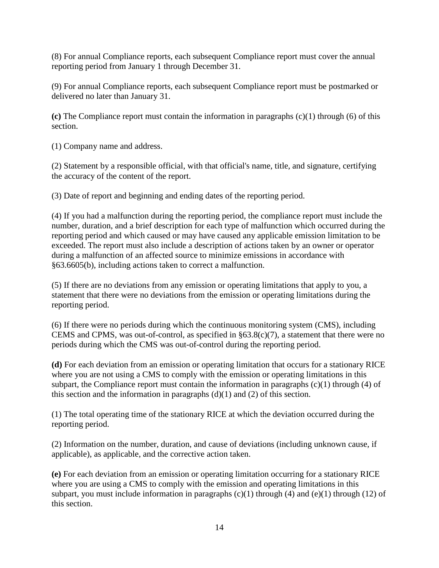(8) For annual Compliance reports, each subsequent Compliance report must cover the annual reporting period from January 1 through December 31.

(9) For annual Compliance reports, each subsequent Compliance report must be postmarked or delivered no later than January 31.

**(c)** The Compliance report must contain the information in paragraphs (c)(1) through (6) of this section.

(1) Company name and address.

(2) Statement by a responsible official, with that official's name, title, and signature, certifying the accuracy of the content of the report.

(3) Date of report and beginning and ending dates of the reporting period.

(4) If you had a malfunction during the reporting period, the compliance report must include the number, duration, and a brief description for each type of malfunction which occurred during the reporting period and which caused or may have caused any applicable emission limitation to be exceeded. The report must also include a description of actions taken by an owner or operator during a malfunction of an affected source to minimize emissions in accordance with §63.6605(b), including actions taken to correct a malfunction.

(5) If there are no deviations from any emission or operating limitations that apply to you, a statement that there were no deviations from the emission or operating limitations during the reporting period.

(6) If there were no periods during which the continuous monitoring system (CMS), including CEMS and CPMS, was out-of-control, as specified in  $§63.8(c)(7)$ , a statement that there were no periods during which the CMS was out-of-control during the reporting period.

**(d)** For each deviation from an emission or operating limitation that occurs for a stationary RICE where you are not using a CMS to comply with the emission or operating limitations in this subpart, the Compliance report must contain the information in paragraphs  $(c)(1)$  through (4) of this section and the information in paragraphs  $(d)(1)$  and  $(2)$  of this section.

(1) The total operating time of the stationary RICE at which the deviation occurred during the reporting period.

(2) Information on the number, duration, and cause of deviations (including unknown cause, if applicable), as applicable, and the corrective action taken.

**(e)** For each deviation from an emission or operating limitation occurring for a stationary RICE where you are using a CMS to comply with the emission and operating limitations in this subpart, you must include information in paragraphs  $(c)(1)$  through  $(4)$  and  $(e)(1)$  through  $(12)$  of this section.